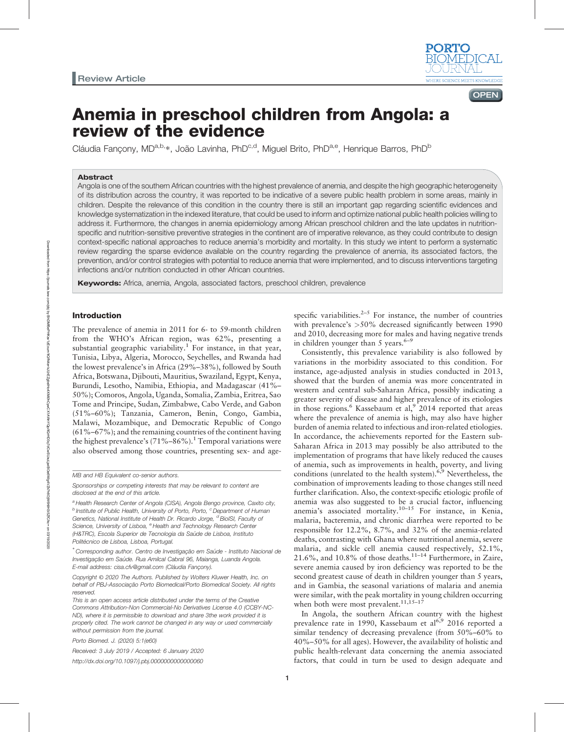

**OPEN** 

# Anemia in preschool children from Angola: a review of the evidence

Cláudia Fançony, MD<sup>a,b,</sup>\*, João Lavinha, PhD<sup>c,d</sup>, Miguel Brito, PhD<sup>a,e</sup>, Henrique Barros, PhD<sup>b</sup>

#### Abstract

Angola is one of the southern African countries with the highest prevalence of anemia, and despite the high geographic heterogeneity of its distribution across the country, it was reported to be indicative of a severe public health problem in some areas, mainly in children. Despite the relevance of this condition in the country there is still an important gap regarding scientific evidences and knowledge systematization in the indexed literature, that could be used to inform and optimize national public health policies willing to address it. Furthermore, the changes in anemia epidemiology among African preschool children and the late updates in nutritionspecific and nutrition-sensitive preventive strategies in the continent are of imperative relevance, as they could contribute to design context-specific national approaches to reduce anemia's morbidity and mortality. In this study we intent to perform a systematic review regarding the sparse evidence available on the country regarding the prevalence of anemia, its associated factors, the prevention, and/or control strategies with potential to reduce anemia that were implemented, and to discuss interventions targeting infections and/or nutrition conducted in other African countries.

**Keywords:** Africa, anemia, Angola, associated factors, preschool children, prevalence

### Introduction

The prevalence of anemia in 2011 for 6- to 59-month children from the WHO's African region, was 62%, presenting a substantial geographic variability.<sup>1</sup> For instance, in that year, Tunisia, Libya, Algeria, Morocco, Seychelles, and Rwanda had the lowest prevalence's in Africa (29%–38%), followed by South Africa, Botswana, Djibouti, Mauritius, Swaziland, Egypt, Kenya, Burundi, Lesotho, Namibia, Ethiopia, and Madagascar (41%– 50%); Comoros, Angola, Uganda, Somalia, Zambia, Eritrea, Sao Tome and Principe, Sudan, Zimbabwe, Cabo Verde, and Gabon (51%–60%); Tanzania, Cameron, Benin, Congo, Gambia, Malawi, Mozambique, and Democratic Republic of Congo (61%–67%); and the remaining countries of the continent having the highest prevalence's  $(71\% - 86\%)$ .<sup>1</sup> Temporal variations were also observed among those countries, presenting sex- and age-

Porto Biomed. J. (2020) 5:1(e60)

Received: 3 July 2019 / Accepted: 6 January 2020

<http://dx.doi.org/10.1097/j.pbj.0000000000000060>

specific variabilities. $2-5$  For instance, the number of countries with prevalence's >50% decreased significantly between 1990 and 2010, decreasing more for males and having negative trends in children younger than 5 years. $6-9$ 

Consistently, this prevalence variability is also followed by variations in the morbidity associated to this condition. For instance, age-adjusted analysis in studies conducted in 2013, showed that the burden of anemia was more concentrated in western and central sub-Saharan Africa, possibly indicating a greater severity of disease and higher prevalence of its etiologies in those regions.<sup>6</sup> Kassebaum et al,  $9\overline{2014}$  reported that areas where the prevalence of anemia is high, may also have higher burden of anemia related to infectious and iron-related etiologies. In accordance, the achievements reported for the Eastern sub-Saharan Africa in 2013 may possibly be also attributed to the implementation of programs that have likely reduced the causes of anemia, such as improvements in health, poverty, and living conditions (unrelated to the health system).<sup>6,9</sup> Nevertheless, the combination of improvements leading to those changes still need further clarification. Also, the context-specific etiologic profile of anemia was also suggested to be a crucial factor, influencing anemia's associated mortality.<sup>10-15</sup> For instance, in Kenia, malaria, bacteremia, and chronic diarrhea were reported to be responsible for 12.2%, 8.7%, and 32% of the anemia-related deaths, contrasting with Ghana where nutritional anemia, severe malaria, and sickle cell anemia caused respectively, 52.1%, 21.6%, and 10.8% of those deaths.11–<sup>14</sup> Furthermore, in Zaire, severe anemia caused by iron deficiency was reported to be the second greatest cause of death in children younger than 5 years, and in Gambia, the seasonal variations of malaria and anemia were similar, with the peak mortality in young children occurring when both were most prevalent.<sup>11,15-17</sup>

In Angola, the southern African country with the highest prevalence rate in 1990, Kassebaum et al<sup>6,9</sup> 2016 reported a similar tendency of decreasing prevalence (from 50%–60% to 40%–50% for all ages). However, the availability of holistic and public health-relevant data concerning the anemia associated factors, that could in turn be used to design adequate and

MB and HB Equivalent co-senior authors.

Sponsorships or competing interests that may be relevant to content are disclosed at the end of this article.

<sup>&</sup>lt;sup>a</sup> Health Research Center of Angola (CISA), Angola Bengo province, Caxito city,  $<sup>b</sup>$  Institute of Public Health, University of Porto, Porto,  $<sup>c</sup>$  Department of Human</sup></sup> Genetics, National Institute of Health Dr. Ricardo Jorge, <sup>d</sup> BioISI, Faculty of Science, University of Lisboa, <sup>e</sup> Health and Technology Research Center (H&TRC), Escola Superior de Tecnologia da Saude de Lisboa, Instituto Politécnico de Lisboa, Lisboa, Portugal.

<sup>∗</sup> Corresponding author. Centro de Investigação em Saude - Instituto Nacional de Investigação em Saúde. Rua Amilcal Cabral 96, Maianga, Luanda Angola. E-mail address: [cisa.cfv@gmail.com](mailto:cisa.cfv@gmail.com) (Cláudia Fançony).

Copyright © 2020 The Authors. Published by Wolters Kluwer Health, Inc. on behalf of PBJ-Associação Porto Biomedical/Porto Biomedical Society. All rights reserved.

This is an open access article distributed under the terms of the [Creative](http://creativecommons.org/licenses/by-nc-nd/4.0) [Commons Attribution-Non Commercial-No Derivatives License 4.0](http://creativecommons.org/licenses/by-nc-nd/4.0) (CCBY-NC-ND), where it is permissible to download and share 3the work provided it is properly cited. The work cannot be changed in any way or used commercially without permission from the journal.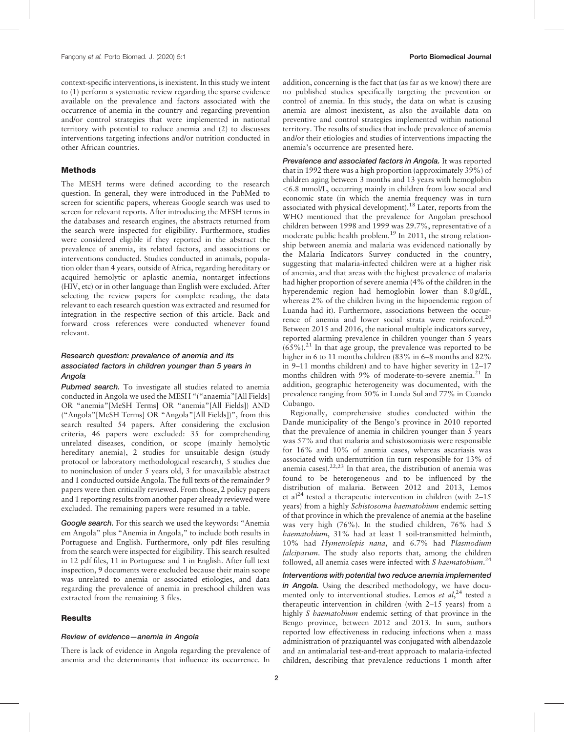context-specific interventions, is inexistent. In this study we intent to (1) perform a systematic review regarding the sparse evidence available on the prevalence and factors associated with the occurrence of anemia in the country and regarding prevention and/or control strategies that were implemented in national territory with potential to reduce anemia and (2) to discusses interventions targeting infections and/or nutrition conducted in other African countries.

#### **Methods**

The MESH terms were defined according to the research question. In general, they were introduced in the PubMed to screen for scientific papers, whereas Google search was used to screen for relevant reports. After introducing the MESH terms in the databases and research engines, the abstracts returned from the search were inspected for eligibility. Furthermore, studies were considered eligible if they reported in the abstract the prevalence of anemia, its related factors, and associations or interventions conducted. Studies conducted in animals, population older than 4 years, outside of Africa, regarding hereditary or acquired hemolytic or aplastic anemia, nontarget infections (HIV, etc) or in other language than English were excluded. After selecting the review papers for complete reading, the data relevant to each research question was extracted and resumed for integration in the respective section of this article. Back and forward cross references were conducted whenever found relevant.

# Research question: prevalence of anemia and its associated factors in children younger than 5 years in Angola

Pubmed search. To investigate all studies related to anemia conducted in Angola we used the MESH "("anaemia"[All Fields] OR "anemia"[MeSH Terms] OR "anemia"[All Fields]) AND ("Angola"[MeSH Terms] OR "Angola"[All Fields])", from this search resulted 54 papers. After considering the exclusion criteria, 46 papers were excluded: 35 for comprehending unrelated diseases, condition, or scope (mainly hemolytic hereditary anemia), 2 studies for unsuitable design (study protocol or laboratory methodological research), 5 studies due to noninclusion of under 5 years old, 3 for unavailable abstract and 1 conducted outside Angola. The full texts of the remainder 9 papers were then critically reviewed. From those, 2 policy papers and 1 reporting results from another paper already reviewed were excluded. The remaining papers were resumed in a table.

Google search. For this search we used the keywords: "Anemia" em Angola" plus "Anemia in Angola," to include both results in Portuguese and English. Furthermore, only pdf files resulting from the search were inspected for eligibility. This search resulted in 12 pdf files, 11 in Portuguese and 1 in English. After full text inspection, 9 documents were excluded because their main scope was unrelated to anemia or associated etiologies, and data regarding the prevalence of anemia in preschool children was extracted from the remaining 3 files.

### **Results**

## Review of evidence—anemia in Angola

There is lack of evidence in Angola regarding the prevalence of anemia and the determinants that influence its occurrence. In addition, concerning is the fact that (as far as we know) there are no published studies specifically targeting the prevention or control of anemia. In this study, the data on what is causing anemia are almost inexistent, as also the available data on preventive and control strategies implemented within national territory. The results of studies that include prevalence of anemia and/or their etiologies and studies of interventions impacting the anemia's occurrence are presented here.

Prevalence and associated factors in Angola. It was reported that in 1992 there was a high proportion (approximately 39%) of children aging between 3 months and 13 years with hemoglobin <6.8 mmol/L, occurring mainly in children from low social and economic state (in which the anemia frequency was in turn associated with physical development).<sup>18</sup> Later, reports from the WHO mentioned that the prevalence for Angolan preschool children between 1998 and 1999 was 29.7%, representative of a moderate public health problem.<sup>19</sup> In 2011, the strong relationship between anemia and malaria was evidenced nationally by the Malaria Indicators Survey conducted in the country, suggesting that malaria-infected children were at a higher risk of anemia, and that areas with the highest prevalence of malaria had higher proportion of severe anemia (4% of the children in the hyperendemic region had hemoglobin lower than 8.0 g/dL, whereas 2% of the children living in the hipoendemic region of Luanda had it). Furthermore, associations between the occurrence of anemia and lower social strata were reinforced.<sup>20</sup> Between 2015 and 2016, the national multiple indicators survey, reported alarming prevalence in children younger than 5 years  $(65\%)$ .<sup>21</sup> In that age group, the prevalence was reported to be higher in 6 to 11 months children (83% in 6–8 months and 82% in 9–11 months children) and to have higher severity in 12–17 months children with 9% of moderate-to-severe anemia.<sup>21</sup> In addition, geographic heterogeneity was documented, with the prevalence ranging from 50% in Lunda Sul and 77% in Cuando Cubango.

Regionally, comprehensive studies conducted within the Dande municipality of the Bengo's province in 2010 reported that the prevalence of anemia in children younger than 5 years was 57% and that malaria and schistosomiasis were responsible for 16% and 10% of anemia cases, whereas ascariasis was associated with undernutrition (in turn responsible for 13% of anemia cases). $22,23$  In that area, the distribution of anemia was found to be heterogeneous and to be influenced by the distribution of malaria. Between 2012 and 2013, Lemos et al<sup>24</sup> tested a therapeutic intervention in children (with  $2-15$ ) years) from a highly Schistosoma haematobium endemic setting of that province in which the prevalence of anemia at the baseline was very high (76%). In the studied children, 76% had S haematobium, 31% had at least 1 soil-transmitted helminth, 10% had Hymenolepis nana, and 6.7% had Plasmodium falciparum. The study also reports that, among the children followed, all anemia cases were infected with S haematobium.<sup>24</sup>

Interventions with potential two reduce anemia implemented in Angola. Using the described methodology, we have documented only to interventional studies. Lemos et al,<sup>24</sup> tested a therapeutic intervention in children (with 2–15 years) from a highly S haematobium endemic setting of that province in the Bengo province, between 2012 and 2013. In sum, authors reported low effectiveness in reducing infections when a mass administration of praziquantel was conjugated with albendazole and an antimalarial test-and-treat approach to malaria-infected children, describing that prevalence reductions 1 month after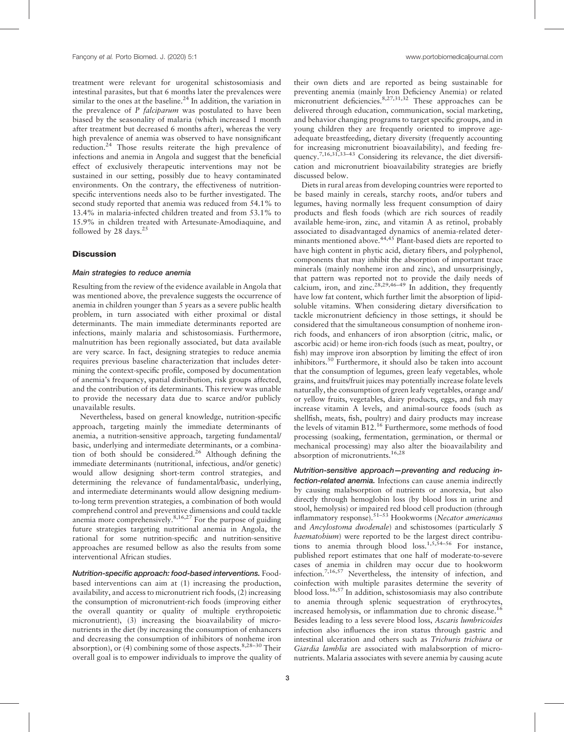treatment were relevant for urogenital schistosomiasis and intestinal parasites, but that 6 months later the prevalences were similar to the ones at the baseline. $2<sup>4</sup>$  In addition, the variation in the prevalence of P falciparum was postulated to have been biased by the seasonality of malaria (which increased 1 month after treatment but decreased 6 months after), whereas the very high prevalence of anemia was observed to have nonsignificant reduction.<sup>24</sup> Those results reiterate the high prevalence of infections and anemia in Angola and suggest that the beneficial effect of exclusively therapeutic interventions may not be sustained in our setting, possibly due to heavy contaminated environments. On the contrary, the effectiveness of nutritionspecific interventions needs also to be further investigated. The second study reported that anemia was reduced from 54.1% to 13.4% in malaria-infected children treated and from 53.1% to 15.9% in children treated with Artesunate-Amodiaquine, and followed by 28 days. $25$ 

## **Discussion**

# Main strategies to reduce anemia

Resulting from the review of the evidence available in Angola that was mentioned above, the prevalence suggests the occurrence of anemia in children younger than 5 years as a severe public health problem, in turn associated with either proximal or distal determinants. The main immediate determinants reported are infections, mainly malaria and schistosomiasis. Furthermore, malnutrition has been regionally associated, but data available are very scarce. In fact, designing strategies to reduce anemia requires previous baseline characterization that includes determining the context-specific profile, composed by documentation of anemia's frequency, spatial distribution, risk groups affected, and the contribution of its determinants. This review was unable to provide the necessary data due to scarce and/or publicly unavailable results.

Nevertheless, based on general knowledge, nutrition-specific approach, targeting mainly the immediate determinants of anemia, a nutrition-sensitive approach, targeting fundamental/ basic, underlying and intermediate determinants, or a combination of both should be considered.<sup>26</sup> Although defining the immediate determinants (nutritional, infectious, and/or genetic) would allow designing short-term control strategies, and determining the relevance of fundamental/basic, underlying, and intermediate determinants would allow designing mediumto-long term prevention strategies, a combination of both would comprehend control and preventive dimensions and could tackle anemia more comprehensively. $8,16,27$  For the purpose of guiding future strategies targeting nutritional anemia in Angola, the rational for some nutrition-specific and nutrition-sensitive approaches are resumed bellow as also the results from some interventional African studies.

Nutrition-specific approach: food-based interventions. Foodbased interventions can aim at (1) increasing the production, availability, and access to micronutrient rich foods, (2) increasing the consumption of micronutrient-rich foods (improving either the overall quantity or quality of multiple erythropoietic micronutrient), (3) increasing the bioavailability of micronutrients in the diet (by increasing the consumption of enhancers and decreasing the consumption of inhibitors of nonheme iron absorption), or (4) combining some of those aspects.  $8,28-30$  Their overall goal is to empower individuals to improve the quality of their own diets and are reported as being sustainable for preventing anemia (mainly Iron Deficiency Anemia) or related micronutrient deficiencies.<sup>8,27,31,32</sup> These approaches can be delivered through education, communication, social marketing, and behavior changing programs to target specific groups, and in young children they are frequently oriented to improve ageadequate breastfeeding, dietary diversity (frequently accounting for increasing micronutrient bioavailability), and feeding frequency.7,16,31,33–<sup>43</sup> Considering its relevance, the diet diversification and micronutrient bioavailability strategies are briefly discussed below.

Diets in rural areas from developing countries were reported to be based mainly in cereals, starchy roots, and/or tubers and legumes, having normally less frequent consumption of dairy products and flesh foods (which are rich sources of readily available heme-iron, zinc, and vitamin A as retinol, probably associated to disadvantaged dynamics of anemia-related determinants mentioned above.<sup>44,45</sup> Plant-based diets are reported to have high content in phytic acid, dietary fibers, and polyphenol, components that may inhibit the absorption of important trace minerals (mainly nonheme iron and zinc), and unsurprisingly, that pattern was reported not to provide the daily needs of calcium, iron, and  $\arctan 28,29,46-49$  In addition, they frequently have low fat content, which further limit the absorption of lipidsoluble vitamins. When considering dietary diversification to tackle micronutrient deficiency in those settings, it should be considered that the simultaneous consumption of nonheme ironrich foods, and enhancers of iron absorption (citric, malic, or ascorbic acid) or heme iron-rich foods (such as meat, poultry, or fish) may improve iron absorption by limiting the effect of iron inhibitors.<sup>50</sup> Furthermore, it should also be taken into account that the consumption of legumes, green leafy vegetables, whole grains, and fruits/fruit juices may potentially increase folate levels naturally, the consumption of green leafy vegetables, orange and/ or yellow fruits, vegetables, dairy products, eggs, and fish may increase vitamin A levels, and animal-source foods (such as shellfish, meats, fish, poultry) and dairy products may increase the levels of vitamin B12.<sup>16</sup> Furthermore, some methods of food processing (soaking, fermentation, germination, or thermal or mechanical processing) may also alter the bioavailability and absorption of micronutrients.16,28

Nutrition-sensitive approach—preventing and reducing infection-related anemia. Infections can cause anemia indirectly by causing malabsorption of nutrients or anorexia, but also directly through hemoglobin loss (by blood loss in urine and stool, hemolysis) or impaired red blood cell production (through inflammatory response).51–<sup>53</sup> Hookworms (Necator americanus and Ancylostoma duodenale) and schistosomes (particularly S haematobium) were reported to be the largest direct contributions to anemia through blood loss.1,5,54–<sup>56</sup> For instance, published report estimates that one half of moderate-to-severe cases of anemia in children may occur due to hookworm infection.7,16,57 Nevertheless, the intensity of infection, and coinfection with multiple parasites determine the severity of blood loss.16,57 In addition, schistosomiasis may also contribute to anemia through splenic sequestration of erythrocytes, increased hemolysis, or inflammation due to chronic disease.<sup>16</sup> Besides leading to a less severe blood loss, Ascaris lumbricoides infection also influences the iron status through gastric and intestinal ulceration and others such as Trichuris trichiura or Giardia lamblia are associated with malabsorption of micronutrients. Malaria associates with severe anemia by causing acute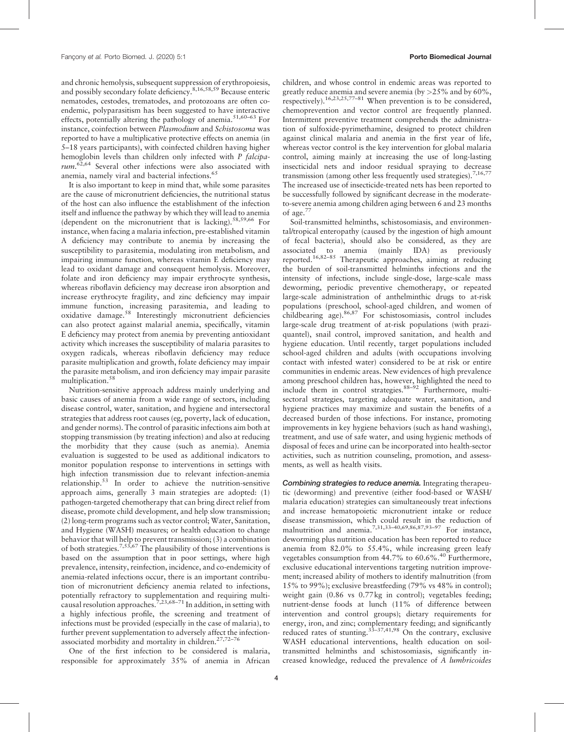and chronic hemolysis, subsequent suppression of erythropoiesis, and possibly secondary folate deficiency.8,16,58,59 Because enteric nematodes, cestodes, trematodes, and protozoans are often coendemic, polyparasitism has been suggested to have interactive effects, potentially altering the pathology of anemia.<sup>51,60–63</sup> For instance, coinfection between Plasmodium and Schistosoma was reported to have a multiplicative protective effects on anemia (in 5–18 years participants), with coinfected children having higher hemoglobin levels than children only infected with P falciparum.<sup>62,64</sup> Several other infections were also associated with anemia, namely viral and bacterial infections.<sup>65</sup>

It is also important to keep in mind that, while some parasites are the cause of micronutrient deficiencies, the nutritional status of the host can also influence the establishment of the infection itself and influence the pathway by which they will lead to anemia (dependent on the micronutrient that is lacking).<sup>58,59,66</sup> For instance, when facing a malaria infection, pre-established vitamin A deficiency may contribute to anemia by increasing the susceptibility to parasitemia, modulating iron metabolism, and impairing immune function, whereas vitamin E deficiency may lead to oxidant damage and consequent hemolysis. Moreover, folate and iron deficiency may impair erythrocyte synthesis, whereas riboflavin deficiency may decrease iron absorption and increase erythrocyte fragility, and zinc deficiency may impair immune function, increasing parasitemia, and leading to oxidative damage.<sup>58</sup> Interestingly micronutrient deficiencies can also protect against malarial anemia, specifically, vitamin E deficiency may protect from anemia by preventing antioxidant activity which increases the susceptibility of malaria parasites to oxygen radicals, whereas riboflavin deficiency may reduce parasite multiplication and growth, folate deficiency may impair the parasite metabolism, and iron deficiency may impair parasite multiplication.<sup>58</sup>

Nutrition-sensitive approach address mainly underlying and basic causes of anemia from a wide range of sectors, including disease control, water, sanitation, and hygiene and intersectoral strategies that address root causes (eg, poverty, lack of education, and gender norms). The control of parasitic infections aim both at stopping transmission (by treating infection) and also at reducing the morbidity that they cause (such as anemia). Anemia evaluation is suggested to be used as additional indicators to monitor population response to interventions in settings with high infection transmission due to relevant infection-anemia relationship.<sup>53</sup> In order to achieve the nutrition-sensitive approach aims, generally 3 main strategies are adopted: (1) pathogen-targeted chemotherapy that can bring direct relief from disease, promote child development, and help slow transmission; (2) long-term programs such as vector control; Water, Sanitation, and Hygiene (WASH) measures; or health education to change behavior that will help to prevent transmission; (3) a combination of both strategies.<sup>7,53,67</sup> The plausibility of those interventions is based on the assumption that in poor settings, where high prevalence, intensity, reinfection, incidence, and co-endemicity of anemia-related infections occur, there is an important contribution of micronutrient deficiency anemia related to infections, potentially refractory to supplementation and requiring multipotentially reflected, to supproaches.<sup>7,23,68–71</sup> In addition, in setting with a highly infectious profile, the screening and treatment of infections must be provided (especially in the case of malaria), to further prevent supplementation to adversely affect the infectionassociated morbidity and mortality in children.<sup>27,72-76</sup>

One of the first infection to be considered is malaria, responsible for approximately 35% of anemia in African children, and whose control in endemic areas was reported to greatly reduce anemia and severe anemia (by  $>25\%$  and by 60%, respectively).<sup>16,23,25,77–81</sup> When prevention is to be considered, chemoprevention and vector control are frequently planned. Intermittent preventive treatment comprehends the administration of sulfoxide-pyrimethamine, designed to protect children against clinical malaria and anemia in the first year of life, whereas vector control is the key intervention for global malaria control, aiming mainly at increasing the use of long-lasting insecticidal nets and indoor residual spraying to decrease transmission (among other less frequently used strategies).<sup>7,16,77</sup> The increased use of insecticide-treated nets has been reported to be successfully followed by significant decrease in the moderateto-severe anemia among children aging between 6 and 23 months of age.<sup>77</sup>

Soil-transmitted helminths, schistosomiasis, and environmental/tropical enteropathy (caused by the ingestion of high amount of fecal bacteria), should also be considered, as they are associated to anemia (mainly IDA) as previously reported.16,82–<sup>85</sup> Therapeutic approaches, aiming at reducing the burden of soil-transmitted helminths infections and the intensity of infections, include single-dose, large-scale mass deworming, periodic preventive chemotherapy, or repeated large-scale administration of anthelminthic drugs to at-risk populations (preschool, school-aged children, and women of childbearing age).<sup>86,87</sup> For schistosomiasis, control includes large-scale drug treatment of at-risk populations (with praziquantel), snail control, improved sanitation, and health and hygiene education. Until recently, target populations included school-aged children and adults (with occupations involving contact with infested water) considered to be at risk or entire communities in endemic areas. New evidences of high prevalence among preschool children has, however, highlighted the need to include them in control strategies.<sup>88–92</sup> Furthermore, multisectoral strategies, targeting adequate water, sanitation, and hygiene practices may maximize and sustain the benefits of a decreased burden of those infections. For instance, promoting improvements in key hygiene behaviors (such as hand washing), treatment, and use of safe water, and using hygienic methods of disposal of feces and urine can be incorporated into health-sector activities, such as nutrition counseling, promotion, and assessments, as well as health visits.

Combining strategies to reduce anemia. Integrating therapeutic (deworming) and preventive (either food-based or WASH/ malaria education) strategies can simultaneously treat infections and increase hematopoietic micronutrient intake or reduce disease transmission, which could result in the reduction of malnutrition and anemia.7,31,33–40,69,86,87,93–<sup>97</sup> For instance, deworming plus nutrition education has been reported to reduce anemia from 82.0% to 55.4%, while increasing green leafy vegetables consumption from 44.7% to 60.6%.<sup>40</sup> Furthermore, exclusive educational interventions targeting nutrition improvement; increased ability of mothers to identify malnutrition (from 15% to 99%); exclusive breastfeeding (79% vs 48% in control); weight gain (0.86 vs 0.77 kg in control); vegetables feeding; nutrient-dense foods at lunch (11% of difference between intervention and control groups); dietary requirements for energy, iron, and zinc; complementary feeding; and significantly reduced rates of stunting. $33-37,41,98$  On the contrary, exclusive WASH educational interventions, health education on soiltransmitted helminths and schistosomiasis, significantly increased knowledge, reduced the prevalence of A lumbricoides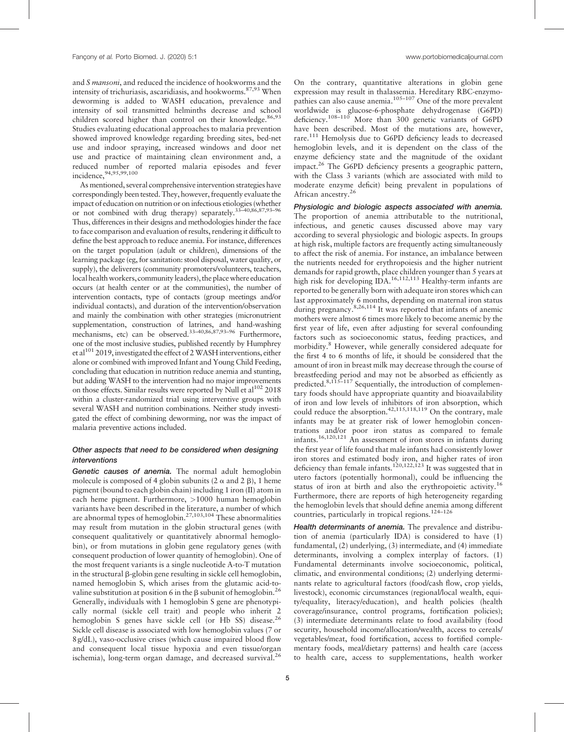and S mansoni, and reduced the incidence of hookworms and the intensity of trichuriasis, ascaridiasis, and hookworms.<sup>87,93</sup> When deworming is added to WASH education, prevalence and intensity of soil transmitted helminths decrease and school children scored higher than control on their knowledge.<sup>86,93</sup> Studies evaluating educational approaches to malaria prevention showed improved knowledge regarding breeding sites, bed-net use and indoor spraying, increased windows and door net use and practice of maintaining clean environment and, a reduced number of reported malaria episodes and fever incidence,94,95,99,100

As mentioned, several comprehensive intervention strategies have correspondingly been tested. They, however, frequently evaluate the impact of education on nutrition or on infectious etiologies (whether or not combined with drug therapy) separately.33–40,86,87,93–<sup>96</sup> Thus, differences in their designs and methodologies hinder the face to face comparison and evaluation of results, rendering it difficult to define the best approach to reduce anemia. For instance, differences on the target population (adult or children), dimensions of the learning package (eg, for sanitation: stool disposal, water quality, or supply), the deliverers (community promoters/volunteers, teachers, local health workers, community leaders), the place where education occurs (at health center or at the communities), the number of intervention contacts, type of contacts (group meetings and/or individual contacts), and duration of the intervention/observation and mainly the combination with other strategies (micronutrient supplementation, construction of latrines, and hand-washing mechanisms, etc) can be observed.33–40,86,87,93–<sup>96</sup> Furthermore, one of the most inclusive studies, published recently by Humphrey et al<sup>101</sup> 2019, investigated the effect of 2 WASH interventions, either alone or combined with improved Infant and Young Child Feeding, concluding that education in nutrition reduce anemia and stunting, but adding WASH to the intervention had no major improvements on those effects. Similar results were reported by Null et  $al^{102}$  2018 within a cluster-randomized trial using interventive groups with several WASH and nutrition combinations. Neither study investigated the effect of combining deworming, nor was the impact of malaria preventive actions included.

# Other aspects that need to be considered when designing interventions

Genetic causes of anemia. The normal adult hemoglobin molecule is composed of 4 globin subunits  $(2 \alpha$  and  $2 \beta)$ , 1 heme pigment (bound to each globin chain) including 1 iron (II) atom in each heme pigment. Furthermore, >1000 human hemoglobin variants have been described in the literature, a number of which are abnormal types of hemoglobin.<sup>27,103,104</sup> These abnormalities may result from mutation in the globin structural genes (with consequent qualitatively or quantitatively abnormal hemoglobin), or from mutations in globin gene regulatory genes (with consequent production of lower quantity of hemoglobin). One of the most frequent variants is a single nucleotide A-to-T mutation in the structural  $\beta$ -globin gene resulting in sickle cell hemoglobin, named hemoglobin S, which arises from the glutamic acid-tovaline substitution at position 6 in the  $\beta$  subunit of hemoglobin.<sup>26</sup> Generally, individuals with 1 hemoglobin S gene are phenotypically normal (sickle cell trait) and people who inherit 2 hemoglobin S genes have sickle cell (or Hb SS) disease.<sup>26</sup> Sickle cell disease is associated with low hemoglobin values (7 or 8 g/dL), vaso-occlusive crises (which cause impaired blood flow and consequent local tissue hypoxia and even tissue/organ ischemia), long-term organ damage, and decreased survival. $^{26}$  On the contrary, quantitative alterations in globin gene expression may result in thalassemia. Hereditary RBC-enzymopathies can also cause anemia.105–<sup>107</sup> One of the more prevalent worldwide is glucose-6-phosphate dehydrogenase (G6PD) deficiency.108–<sup>110</sup> More than 300 genetic variants of G6PD have been described. Most of the mutations are, however, rare.<sup>111</sup> Hemolysis due to G6PD deficiency leads to decreased hemoglobin levels, and it is dependent on the class of the enzyme deficiency state and the magnitude of the oxidant impact.<sup>26</sup> The G6PD deficiency presents a geographic pattern, with the Class 3 variants (which are associated with mild to moderate enzyme deficit) being prevalent in populations of African ancestry.<sup>26</sup>

Physiologic and biologic aspects associated with anemia. The proportion of anemia attributable to the nutritional, infectious, and genetic causes discussed above may vary according to several physiologic and biologic aspects. In groups at high risk, multiple factors are frequently acting simultaneously to affect the risk of anemia. For instance, an imbalance between the nutrients needed for erythropoiesis and the higher nutrient demands for rapid growth, place children younger than 5 years at high risk for developing IDA.<sup>16,112,113</sup> Healthy-term infants are reported to be generally born with adequate iron stores which can last approximately 6 months, depending on maternal iron status during pregnancy.<sup>8,26,114</sup> It was reported that infants of anemic mothers were almost 6 times more likely to become anemic by the first year of life, even after adjusting for several confounding factors such as socioeconomic status, feeding practices, and morbidity.<sup>8</sup> However, while generally considered adequate for the first 4 to 6 months of life, it should be considered that the amount of iron in breast milk may decrease through the course of breastfeeding period and may not be absorbed as efficiently as predicted.<sup>8,115–117</sup> Sequentially, the introduction of complementary foods should have appropriate quantity and bioavailability of iron and low levels of inhibitors of iron absorption, which could reduce the absorption.<sup>42,115,118,119</sup> On the contrary, male infants may be at greater risk of lower hemoglobin concentrations and/or poor iron status as compared to female infants.16,120,121 An assessment of iron stores in infants during the first year of life found that male infants had consistently lower iron stores and estimated body iron, and higher rates of iron deficiency than female infants.<sup>120,122,123</sup> It was suggested that in utero factors (potentially hormonal), could be influencing the status of iron at birth and also the erythropoietic activity.<sup>16</sup> Furthermore, there are reports of high heterogeneity regarding the hemoglobin levels that should define anemia among different countries, particularly in tropical regions.124–<sup>126</sup>

Health determinants of anemia. The prevalence and distribution of anemia (particularly IDA) is considered to have (1) fundamental, (2) underlying, (3) intermediate, and (4) immediate determinants, involving a complex interplay of factors. (1) Fundamental determinants involve socioeconomic, political, climatic, and environmental conditions; (2) underlying determinants relate to agricultural factors (food/cash flow, crop yields, livestock), economic circumstances (regional/local wealth, equity/equality, literacy/education), and health policies (health coverage/insurance, control programs, fortification policies); (3) intermediate determinants relate to food availability (food security, household income/allocation/wealth, access to cereals/ vegetables/meat, food fortification, access to fortified complementary foods, meal/dietary patterns) and health care (access to health care, access to supplementations, health worker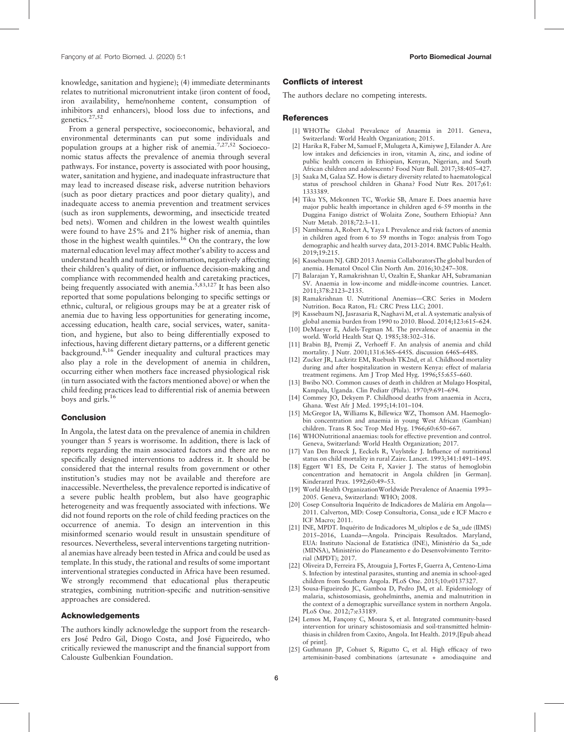knowledge, sanitation and hygiene); (4) immediate determinants relates to nutritional micronutrient intake (iron content of food, iron availability, heme/nonheme content, consumption of inhibitors and enhancers), blood loss due to infections, and genetics.27,52

From a general perspective, socioeconomic, behavioral, and environmental determinants can put some individuals and population groups at a higher risk of anemia.<sup>7,27,52</sup> Socioeconomic status affects the prevalence of anemia through several pathways. For instance, poverty is associated with poor housing, water, sanitation and hygiene, and inadequate infrastructure that may lead to increased disease risk, adverse nutrition behaviors (such as poor dietary practices and poor dietary quality), and inadequate access to anemia prevention and treatment services (such as iron supplements, deworming, and insecticide treated bed nets). Women and children in the lowest wealth quintiles were found to have 25% and 21% higher risk of anemia, than those in the highest wealth quintiles.<sup>16</sup> On the contrary, the low maternal education level may affect mother's ability to access and understand health and nutrition information, negatively affecting their children's quality of diet, or influence decision-making and compliance with recommended health and caretaking practices, being frequently associated with anemia.<sup>5,83,127</sup> It has been also reported that some populations belonging to specific settings or ethnic, cultural, or religious groups may be at a greater risk of anemia due to having less opportunities for generating income, accessing education, health care, social services, water, sanitation, and hygiene, but also to being differentially exposed to infectious, having different dietary patterns, or a different genetic background.8,16 Gender inequality and cultural practices may also play a role in the development of anemia in children, occurring either when mothers face increased physiological risk (in turn associated with the factors mentioned above) or when the child feeding practices lead to differential risk of anemia between boys and girls. $16$ 

### Conclusion

In Angola, the latest data on the prevalence of anemia in children younger than 5 years is worrisome. In addition, there is lack of reports regarding the main associated factors and there are no specifically designed interventions to address it. It should be considered that the internal results from government or other institution's studies may not be available and therefore are inaccessible. Nevertheless, the prevalence reported is indicative of a severe public health problem, but also have geographic heterogeneity and was frequently associated with infections. We did not found reports on the role of child feeding practices on the occurrence of anemia. To design an intervention in this misinformed scenario would result in unsustain spenditure of resources. Nevertheless, several interventions targeting nutritional anemias have already been tested in Africa and could be used as template. In this study, the rational and results of some important interventional strategies conducted in Africa have been resumed. We strongly recommend that educational plus therapeutic strategies, combining nutrition-specific and nutrition-sensitive approaches are considered.

## Acknowledgements

The authors kindly acknowledge the support from the researchers José Pedro Gil, Diogo Costa, and José Figueiredo, who critically reviewed the manuscript and the financial support from Calouste Gulbenkian Foundation.

#### Conflicts of interest

The authors declare no competing interests.

#### References

- [1] WHOThe Global Prevalence of Anaemia in 2011. Geneva, Switzerland: World Health Organization; 2015.
- [2] Harika R, Faber M, Samuel F, Mulugeta A, Kimiywe J, Eilander A. Are low intakes and deficiencies in iron, vitamin A, zinc, and iodine of public health concern in Ethiopian, Kenyan, Nigerian, and South African children and adolescents? Food Nutr Bull. 2017;38:405–427.
- [3] Saaka M, Galaa SZ. How is dietary diversity related to haematological status of preschool children in Ghana? Food Nutr Res. 2017;61: 1333389.
- [4] Tiku YS, Mekonnen TC, Workie SB, Amare E. Does anaemia have major public health importance in children aged 6-59 months in the Duggina Fanigo district of Wolaita Zone, Southern Ethiopia? Ann Nutr Metab. 2018;72:3–11.
- [5] Nambiema A, Robert A, Yaya I. Prevalence and risk factors of anemia in children aged from 6 to 59 months in Togo: analysis from Togo demographic and health survey data, 2013-2014. BMC Public Health. 2019;19:215.
- [6] Kassebaum NJ. GBD 2013 Anemia CollaboratorsThe global burden of anemia. Hematol Oncol Clin North Am. 2016;30:247–308.
- [7] Balarajan Y, Ramakrishnan U, Ozaltin E, Shankar AH, Subramanian SV. Anaemia in low-income and middle-income countries. Lancet. 2011;378:2123–2135.
- [8] Ramakrishnan U. Nutritional Anemias—CRC Series in Modern Nutrition. Boca Raton, FL: CRC Press LLC; 2001.
- [9] Kassebaum NJ, Jasrasaria R, Naghavi M, et al. A systematic analysis of global anemia burden from 1990 to 2010. Blood. 2014;123:615–624.
- [10] DeMaeyer E, Adiels-Tegman M. The prevalence of anaemia in the world. World Health Stat Q. 1985;38:302–316.
- [11] Brabin BJ, Premji Z, Verhoeff F. An analysis of anemia and child mortality. J Nutr. 2001;131:636S–645S. discussion 646S–648S.
- [12] Zucker JR, Lackritz EM, Ruebush TK2nd, et al. Childhood mortality during and after hospitalization in western Kenya: effect of malaria treatment regimens. Am J Trop Med Hyg. 1996;55:655–660.
- [13] Bwibo NO. Common causes of death in children at Mulago Hospital, Kampala, Uganda. Clin Pediatr (Phila). 1970;9:691–694.
- [14] Commey JO, Dekyem P. Childhood deaths from anaemia in Accra, Ghana. West Afr J Med. 1995;14:101–104.
- [15] McGregor IA, Williams K, Billewicz WZ, Thomson AM. Haemoglobin concentration and anaemia in young West African (Gambian) children. Trans R Soc Trop Med Hyg. 1966;60:650–667.
- [16] WHONutritional anaemias: tools for effective prevention and control. Geneva, Switzerland: World Health Organization; 2017.
- [17] Van Den Broeck J, Eeckels R, Vuylsteke J. Influence of nutritional status on child mortality in rural Zaire. Lancet. 1993;341:1491–1495.
- [18] Eggert W1 ES, De Ceita F, Xavier J. The status of hemoglobin concentration and hematocrit in Angola children [in German]. Kinderarztl Prax. 1992;60:49–53.
- [19] World Health Organization Worldwide Prevalence of Anaemia 1993– 2005. Geneva, Switzerland: WHO; 2008.
- [20] Cosep Consultoria Inquérito de Indicadores de Malária em Angola— 2011. Calverton, MD: Cosep Consultoria, Consa\_ude e ICF Macro e ICF Macro; 2011.
- [21] INE, MPDT. Inquérito de Indicadores M\_ultiplos e de Sa\_ude (IIMS) 2015–2016, Luanda—Angola. Principais Resultados. Maryland, EUA: Instituto Nacional de Estatística (INE), Ministério da Sa\_ude (MINSA), Ministério do Planeamento e do Desenvolvimento Territorial (MPDT); 2017.
- [22] Oliveira D, Ferreira FS, Atouguia J, Fortes F, Guerra A, Centeno-Lima S. Infection by intestinal parasites, stunting and anemia in school-aged children from Southern Angola. PLoS One. 2015;10:e0137327.
- [23] Sousa-Figueiredo JC, Gamboa D, Pedro JM, et al. Epidemiology of malaria, schistosomiasis, geohelminths, anemia and malnutrition in the context of a demographic surveillance system in northern Angola. PLoS One. 2012;7:e33189.
- [24] Lemos M, Fançony C, Moura S, et al. Integrated community-based intervention for urinary schistosomiasis and soil-transmitted helminthiasis in children from Caxito, Angola. Int Health. 2019.[Epub ahead of print].
- [25] Guthmann JP, Cohuet S, Rigutto C, et al. High efficacy of two artemisinin-based combinations (artesunate + amodiaquine and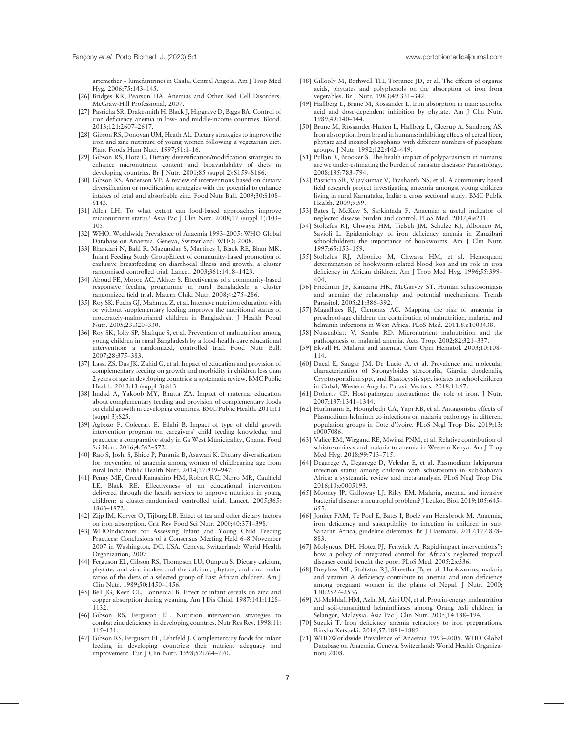artemether + lumefantrine) in Caala, Central Angola. Am J Trop Med Hyg. 2006;75:143–145.

- [26] Bridges KR, Pearson HA. Anemias and Other Red Cell Disorders. McGraw-Hill Professional, 2007.
- [27] Pasricha SR, Drakesmith H, Black J, Hipgrave D, Biggs BA. Control of iron deficiency anemia in low- and middle-income countries. Blood. 2013;121:2607–2617.
- [28] Gibson RS, Donovan UM, Heath AL. Dietary strategies to improve the iron and zinc nutriture of young women following a vegetarian diet. Plant Foods Hum Nutr. 1997;51:1–16.
- [29] Gibson RS, Hotz C. Dietary diversification/modification strategies to enhance micronutrient content and bioavailability of diets in developing countries. Br J Nutr. 2001;85 (suppl 2):S159–S166.
- [30] Gibson RS, Anderson VP. A review of interventions based on dietary diversification or modification strategies with the potential to enhance intakes of total and absorbable zinc. Food Nutr Bull. 2009;30:S108– S143.
- [31] Allen LH. To what extent can food-based approaches improve micronutrient status? Asia Pac J Clin Nutr. 2008;17 (suppl 1):103– 105.
- [32] WHO. Worldwide Prevalence of Anaemia 1993–2005: WHO Global Database on Anaemia. Geneva, Switzerland: WHO; 2008.
- [33] Bhandari N, Bahl R, Mazumdar S, Martines J, Black RE, Bhan MK. Infant Feeding Study GroupEffect of community-based promotion of exclusive breastfeeding on diarrhoeal illness and growth: a cluster randomised controlled trial. Lancet. 2003;361:1418–1423.
- [34] Aboud FE, Moore AC, Akhter S. Effectiveness of a community-based responsive feeding programme in rural Bangladesh: a cluster randomized field trial. Matern Child Nutr. 2008;4:275–286.
- [35] Roy SK, Fuchs GJ, Mahmud Z, et al. Intensive nutrition education with or without supplementary feeding improves the nutritional status of moderately-malnourished children in Bangladesh. J Health Popul Nutr. 2005;23:320–330.
- [36] Roy SK, Jolly SP, Shafique S, et al. Prevention of malnutrition among young children in rural Bangladesh by a food-health-care educational intervention: a randomized, controlled trial. Food Nutr Bull. 2007;28:375–383.
- [37] Lassi ZS, Das JK, Zahid G, et al. Impact of education and provision of complementary feeding on growth and morbidity in children less than 2 years of age in developing countries: a systematic review. BMC Public Health. 2013;13 (suppl 3):S13.
- [38] Imdad A, Yakoob MY, Bhutta ZA. Impact of maternal education about complementary feeding and provision of complementary foods on child growth in developing countries. BMC Public Health. 2011;11 (suppl 3):S25.
- [39] Agbozo F, Colecraft E, Ellahi B. Impact of type of child growth intervention program on caregivers' child feeding knowledge and practices: a comparative study in Ga West Municipality, Ghana. Food Sci Nutr. 2016;4:562–572.
- [40] Rao S, Joshi S, Bhide P, Puranik B, Asawari K. Dietary diversification for prevention of anaemia among women of childbearing age from rural India. Public Health Nutr. 2014;17:939–947.
- [41] Penny ME, Creed-Kanashiro HM, Robert RC, Narro MR, Caulfield LE, Black RE. Effectiveness of an educational intervention delivered through the health services to improve nutrition in young children: a cluster-randomised controlled trial. Lancet. 2005;365: 1863–1872.
- [42] Zijp IM, Korver O, Tijburg LB. Effect of tea and other dietary factors on iron absorption. Crit Rev Food Sci Nutr. 2000;40:371–398.
- [43] WHOIndicators for Assessing Infant and Young Child Feeding Practices: Conclusions of a Consensus Meeting Held 6–8 November 2007 in Washington, DC, USA. Geneva, Switzerland: World Health Organization; 2007.
- [44] Ferguson EL, Gibson RS, Thompson LU, Ounpuu S. Dietary calcium, phytate, and zinc intakes and the calcium, phytate, and zinc molar ratios of the diets of a selected group of East African children. Am J Clin Nutr. 1989;50:1450–1456.
- [45] Bell JG, Keen CL, Lonnerdal B. Effect of infant cereals on zinc and copper absorption during weaning. Am J Dis Child. 1987;141:1128– 1132.
- [46] Gibson RS, Ferguson EL. Nutrition intervention strategies to combat zinc deficiency in developing countries. Nutr Res Rev. 1998;11: 115–131.
- [47] Gibson RS, Ferguson EL, Lehrfeld J. Complementary foods for infant feeding in developing countries: their nutrient adequacy and improvement. Eur J Clin Nutr. 1998;52:764–770.
- [48] Gillooly M, Bothwell TH, Torrance JD, et al. The effects of organic acids, phytates and polyphenols on the absorption of iron from vegetables. Br J Nutr. 1983;49:331–342.
- [49] Hallberg L, Brune M, Rossander L. Iron absorption in man: ascorbic acid and dose-dependent inhibition by phytate. Am J Clin Nutr. 1989;49:140–144.
- [50] Brune M, Rossander-Hulten L, Hallberg L, Gleerup A, Sandberg AS. Iron absorption from bread in humans: inhibiting effects of cereal fiber, phytate and inositol phosphates with different numbers of phosphate groups. J Nutr. 1992;122:442–449.
- [51] Pullan R, Brooker S. The health impact of polyparasitism in humans: are we under-estimating the burden of parasitic diseases? Parasitology. 2008;135:783–794.
- [52] Pasricha SR, Vijaykumar V, Prashanth NS, et al. A community based field research project investigating anaemia amongst young children living in rural Karnataka, India: a cross sectional study. BMC Public Health. 2009;9:59.
- [53] Bates I, McKew S, Sarkinfada F. Anaemia: a useful indicator of neglected disease burden and control. PLoS Med. 2007;4:e231.
- [54] Stoltzfus RJ, Chwaya HM, Tielsch JM, Schulze KJ, Albonico M, Savioli L. Epidemiology of iron deficiency anemia in Zanzibari schoolchildren: the importance of hookworms. Am J Clin Nutr. 1997;65:153–159.
- [55] Stoltzfus RJ, Albonico M, Chwaya HM, et al. Hemoquant determination of hookworm-related blood loss and its role in iron deficiency in African children. Am J Trop Med Hyg. 1996;55:399– 404.
- [56] Friedman JF, Kanzaria HK, McGarvey ST. Human schistosomiasis and anemia: the relationship and potential mechanisms. Trends Parasitol. 2005;21:386–392.
- [57] Magalhaes RJ, Clements AC. Mapping the risk of anaemia in preschool-age children: the contribution of malnutrition, malaria, and helminth infections in West Africa. PLoS Med. 2011;8:e1000438.
- [58] Nussenblatt V, Semba RD. Micronutrient malnutrition and the pathogenesis of malarial anemia. Acta Trop. 2002;82:321–337.
- [59] Ekvall H. Malaria and anemia. Curr Opin Hematol. 2003;10:108– 114.
- [60] Dacal E, Saugar JM, De Lucio A, et al. Prevalence and molecular characterization of Strongyloides stercoralis, Giardia duodenalis, Cryptosporidium spp., and Blastocystis spp. isolates in school children in Cubal, Western Angola. Parasit Vectors. 2018;11:67.
- [61] Doherty CP. Host-pathogen interactions: the role of iron. J Nutr. 2007;137:1341–1344.
- [62] Hurlimann E, Houngbedji CA, Yapi RB, et al. Antagonistic effects of Plasmodium-helminth co-infections on malaria pathology in different population groups in Cote d'Ivoire. PLoS Negl Trop Dis. 2019;13: e0007086.
- [63] Valice EM, Wiegand RE, Mwinzi PNM, et al. Relative contribution of schistosomiasis and malaria to anemia in Western Kenya. Am J Trop Med Hyg. 2018;99:713–715.
- [64] Degarege A, Degarege D, Veledar E, et al. Plasmodium falciparum infection status among children with schistosoma in sub-Saharan Africa: a systematic review and meta-analysis. PLoS Negl Trop Dis. 2016;10:e0005193.
- [65] Mooney JP, Galloway LJ, Riley EM. Malaria, anemia, and invasive bacterial disease: a neutrophil problem? J Leukoc Biol. 2019;105:645– 655.
- [66] Jonker FAM, Te Poel E, Bates I, Boele van Hensbroek M. Anaemia, iron deficiency and susceptibility to infection in children in sub-Saharan Africa, guideline dilemmas. Br J Haematol. 2017;177:878– 883.
- [67] Molyneux DH, Hotez PJ, Fenwick A. Rapid-impact interventions": how a policy of integrated control for Africa's neglected tropical diseases could benefit the poor. PLoS Med. 2005;2:e336.
- [68] Dreyfuss ML, Stoltzfus RJ, Shrestha JB, et al. Hookworms, malaria and vitamin A deficiency contribute to anemia and iron deficiency among pregnant women in the plains of Nepal. J Nutr. 2000; 130:2527–2536.
- [69] Al-Mekhlafi HM, Azlin M, Aini UN, et al. Protein-energy malnutrition and soil-transmitted helminthiases among Orang Asli children in Selangor, Malaysia. Asia Pac J Clin Nutr. 2005;14:188–194.
- [70] Suzuki T. Iron deficiency anemia refractory to iron preparations. Rinsho Ketsueki. 2016;57:1881–1889.
- [71] WHOWorldwide Prevalence of Anaemia 1993–2005. WHO Global Database on Anaemia. Geneva, Switzerland: World Health Organization; 2008.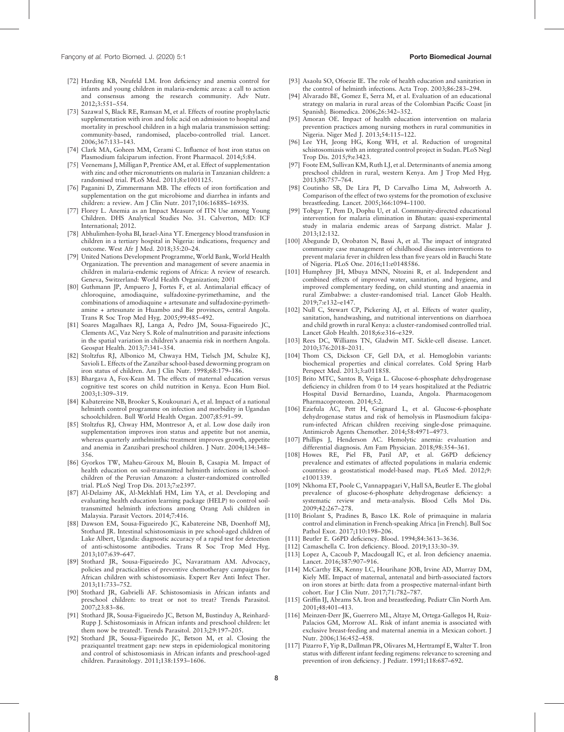- [72] Harding KB, Neufeld LM. Iron deficiency and anemia control for infants and young children in malaria-endemic areas: a call to action and consensus among the research community. Adv Nutr. 2012;3:551–554.
- [73] Sazawal S, Black RE, Ramsan M, et al. Effects of routine prophylactic supplementation with iron and folic acid on admission to hospital and mortality in preschool children in a high malaria transmission setting: community-based, randomised, placebo-controlled trial. Lancet. 2006;367:133–143.
- [74] Clark MA, Goheen MM, Cerami C. Influence of host iron status on Plasmodium falciparum infection. Front Pharmacol. 2014;5:84.
- [75] Veenemans J, Milligan P, Prentice AM, et al. Effect of supplementation with zinc and other micronutrients on malaria in Tanzanian children: a randomised trial. PLoS Med. 2011;8:e1001125.
- [76] Paganini D, Zimmermann MB. The effects of iron fortification and supplementation on the gut microbiome and diarrhea in infants and children: a review. Am J Clin Nutr. 2017;106:1688S–1693S.
- [77] Florey L. Anemia as an Impact Measure of ITN Use among Young Children. DHS Analytical Studies No. 31. Calverton, MD: ICF International; 2012.
- [78] Abhulimhen-Iyoha BI, Israel-Aina YT. Emergency blood transfusion in children in a tertiary hospital in Nigeria: indications, frequency and outcome. West Afr J Med. 2018;35:20–24.
- [79] United Nations Development Programme, World Bank, World Health Organization. The prevention and management of severe anaemia in children in malaria-endemic regions of Africa: A review of research. Geneva, Switzerland: World Health Organization; 2001
- [80] Guthmann JP, Ampuero J, Fortes F, et al. Antimalarial efficacy of chloroquine, amodiaquine, sulfadoxine-pyrimethamine, and the combinations of amodiaquine + artesunate and sulfadoxine-pyrimethamine + artesunate in Huambo and Bie provinces, central Angola. Trans R Soc Trop Med Hyg. 2005;99:485–492.
- [81] Soares Magalhaes RJ, Langa A, Pedro JM, Sousa-Figueiredo JC, Clements AC, Vaz Nery S. Role of malnutrition and parasite infections in the spatial variation in children's anaemia risk in northern Angola. Geospat Health. 2013;7:341–354.
- [82] Stoltzfus RJ, Albonico M, Chwaya HM, Tielsch JM, Schulze KJ, Savioli L. Effects of the Zanzibar school-based deworming program on iron status of children. Am J Clin Nutr. 1998;68:179–186.
- [83] Bhargava A, Fox-Kean M. The effects of maternal education versus cognitive test scores on child nutrition in Kenya. Econ Hum Biol. 2003;1:309–319.
- [84] Kabatereine NB, Brooker S, Koukounari A, et al. Impact of a national helminth control programme on infection and morbidity in Ugandan schoolchildren. Bull World Health Organ. 2007;85:91–99.
- [85] Stoltzfus RJ, Chway HM, Montresor A, et al. Low dose daily iron supplementation improves iron status and appetite but not anemia, whereas quarterly anthelminthic treatment improves growth, appetite and anemia in Zanzibari preschool children. J Nutr. 2004;134:348– 356.
- [86] Gyorkos TW, Maheu-Giroux M, Blouin B, Casapia M. Impact of health education on soil-transmitted helminth infections in schoolchildren of the Peruvian Amazon: a cluster-randomized controlled trial. PLoS Negl Trop Dis. 2013;7:e2397.
- [87] Al-Delaimy AK, Al-Mekhlafi HM, Lim YA, et al. Developing and evaluating health education learning package (HELP) to control soiltransmitted helminth infections among Orang Asli children in Malaysia. Parasit Vectors. 2014;7:416.
- [88] Dawson EM, Sousa-Figueiredo JC, Kabatereine NB, Doenhoff MJ, Stothard JR. Intestinal schistosomiasis in pre school-aged children of Lake Albert, Uganda: diagnostic accuracy of a rapid test for detection of anti-schistosome antibodies. Trans R Soc Trop Med Hyg. 2013;107:639–647.
- [89] Stothard JR, Sousa-Figueiredo JC, Navaratnam AM. Advocacy, policies and practicalities of preventive chemotherapy campaigns for African children with schistosomiasis. Expert Rev Anti Infect Ther. 2013;11:733–752.
- [90] Stothard JR, Gabrielli AF. Schistosomiasis in African infants and preschool children: to treat or not to treat? Trends Parasitol. 2007;23:83–86.
- [91] Stothard JR, Sousa-Figueiredo JC, Betson M, Bustinduy A, Reinhard-Rupp J. Schistosomiasis in African infants and preschool children: let them now be treated!. Trends Parasitol. 2013;29:197–205.
- [92] Stothard JR, Sousa-Figueiredo JC, Betson M, et al. Closing the praziquantel treatment gap: new steps in epidemiological monitoring and control of schistosomiasis in African infants and preschool-aged children. Parasitology. 2011;138:1593–1606.
- [93] Asaolu SO, Ofoezie IE. The role of health education and sanitation in the control of helminth infections. Acta Trop. 2003;86:283–294.
- [94] Alvarado BE, Gomez E, Serra M, et al. Evaluation of an educational strategy on malaria in rural areas of the Colombian Pacific Coast [in Spanish]. Biomedica. 2006;26:342–352.
- [95] Amoran OE. Impact of health education intervention on malaria prevention practices among nursing mothers in rural communities in Nigeria. Niger Med J. 2013;54:115–122.
- [96] Lee YH, Jeong HG, Kong WH, et al. Reduction of urogenital schistosomiasis with an integrated control project in Sudan. PLoS Negl Trop Dis. 2015;9:e3423.
- [97] Foote EM, Sullivan KM, Ruth LJ, et al. Determinants of anemia among preschool children in rural, western Kenya. Am J Trop Med Hyg. 2013;88:757–764.
- [98] Coutinho SB, De Lira PI, D Carvalho Lima M, Ashworth A. Comparison of the effect of two systems for the promotion of exclusive breastfeeding. Lancet. 2005;366:1094–1100.
- [99] Tobgay T, Pem D, Dophu U, et al. Community-directed educational intervention for malaria elimination in Bhutan: quasi-experimental study in malaria endemic areas of Sarpang district. Malar J. 2013;12:132.
- [100] Abegunde D, Orobaton N, Bassi A, et al. The impact of integrated community case management of childhood diseases interventions to prevent malaria fever in children less than five years old in Bauchi State of Nigeria. PLoS One. 2016;11:e0148586.
- [101] Humphrey JH, Mbuya MNN, Ntozini R, et al. Independent and combined effects of improved water, sanitation, and hygiene, and improved complementary feeding, on child stunting and anaemia in rural Zimbabwe: a cluster-randomised trial. Lancet Glob Health. 2019;7:e132–e147.
- [102] Null C, Stewart CP, Pickering AJ, et al. Effects of water quality, sanitation, handwashing, and nutritional interventions on diarrhoea and child growth in rural Kenya: a cluster-randomised controlled trial. Lancet Glob Health. 2018;6:e316–e329.
- [103] Rees DC, Williams TN, Gladwin MT. Sickle-cell disease. Lancet. 2010;376:2018–2031.
- [104] Thom CS, Dickson CF, Gell DA, et al. Hemoglobin variants: biochemical properties and clinical correlates. Cold Spring Harb Perspect Med. 2013;3:a011858.
- [105] Brito MTC, Santos B, Veiga L. Glucose-6-phosphate dehydrogenase deficiency in children from 0 to 14 years hospitalized at the Pediatric Hospital David Bernardino, Luanda, Angola. Pharmacogenom Pharmacoproteom. 2014;5:2.
- [106] Eziefula AC, Pett H, Grignard L, et al. Glucose-6-phosphate dehydrogenase status and risk of hemolysis in Plasmodium falciparum-infected African children receiving single-dose primaquine. Antimicrob Agents Chemother. 2014;58:4971–4973.
- [107] Phillips J, Henderson AC. Hemolytic anemia: evaluation and differential diagnosis. Am Fam Physician. 2018;98:354–361.
- [108] Howes RE, Piel FB, Patil AP, et al. G6PD deficiency prevalence and estimates of affected populations in malaria endemic countries: a geostatistical model-based map. PLoS Med. 2012;9: e1001339.
- [109] Nkhoma ET, Poole C, Vannappagari V, Hall SA, Beutler E. The global prevalence of glucose-6-phosphate dehydrogenase deficiency: a systematic review and meta-analysis. Blood Cells Mol Dis. 2009;42:267–278.
- [110] Briolant S, Pradines B, Basco LK. Role of primaquine in malaria control and elimination in French-speaking Africa [in French]. Bull Soc Pathol Exot. 2017;110:198–206.
- [111] Beutler E. G6PD deficiency. Blood. 1994;84:3613-3636.
- [112] Camaschella C. Iron deficiency. Blood. 2019;133:30-39.
- [113] Lopez A, Cacoub P, Macdougall IC, et al. Iron deficiency anaemia. Lancet. 2016;387:907–916.
- [114] McCarthy EK, Kenny LC, Hourihane JOB, Irvine AD, Murray DM, Kiely ME. Impact of maternal, antenatal and birth-associated factors on iron stores at birth: data from a prospective maternal-infant birth cohort. Eur J Clin Nutr. 2017;71:782–787.
- [115] Griffin IJ, Abrams SA. Iron and breastfeeding. Pediatr Clin North Am. 2001;48:401–413.
- [116] Meinzen-Derr JK, Guerrero ML, Altaye M, Ortega-Gallegos H, Ruiz-Palacios GM, Morrow AL. Risk of infant anemia is associated with exclusive breast-feeding and maternal anemia in a Mexican cohort. J Nutr. 2006;136:452–458.
- [117] Pizarro F, Yip R, Dallman PR, Olivares M, Hertrampf E, Walter T. Iron status with different infant feeding regimens: relevance to screening and prevention of iron deficiency. J Pediatr. 1991;118:687–692.